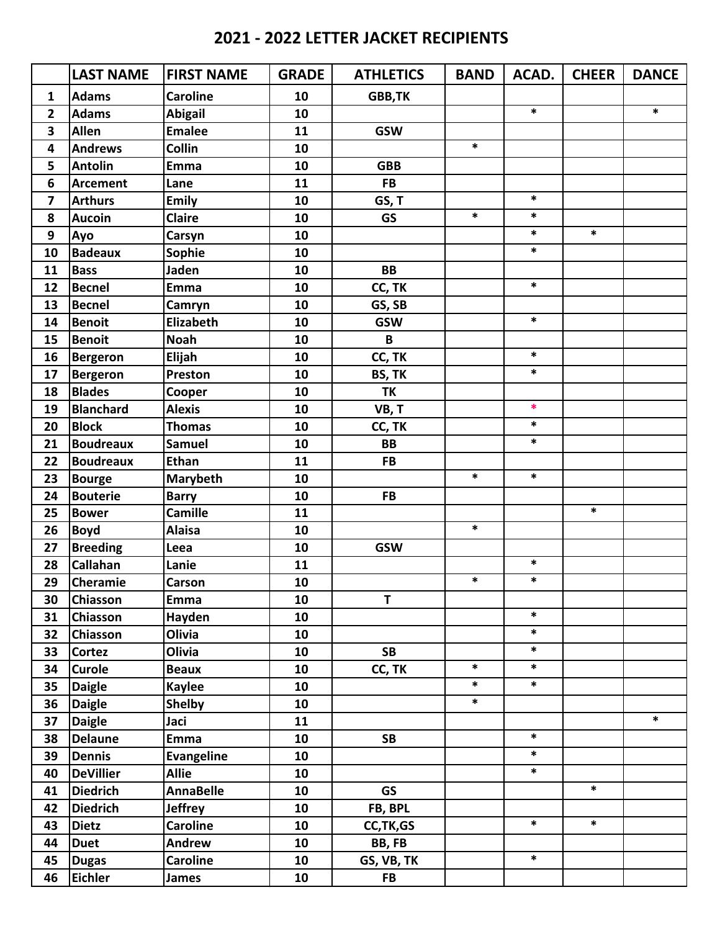|                         | <b>LAST NAME</b> | <b>FIRST NAME</b> | <b>GRADE</b> | <b>ATHLETICS</b> | <b>BAND</b> | ACAD.  | <b>CHEER</b> | <b>DANCE</b> |
|-------------------------|------------------|-------------------|--------------|------------------|-------------|--------|--------------|--------------|
| $\mathbf{1}$            | <b>Adams</b>     | <b>Caroline</b>   | 10           | GBB, TK          |             |        |              |              |
| 2                       | <b>Adams</b>     | <b>Abigail</b>    | 10           |                  |             | $\ast$ |              | $\ast$       |
| 3                       | <b>Allen</b>     | <b>Emalee</b>     | 11           | <b>GSW</b>       |             |        |              |              |
| 4                       | <b>Andrews</b>   | <b>Collin</b>     | 10           |                  | $\ast$      |        |              |              |
| 5                       | <b>Antolin</b>   | Emma              | 10           | <b>GBB</b>       |             |        |              |              |
| 6                       | <b>Arcement</b>  | Lane              | 11           | <b>FB</b>        |             |        |              |              |
| $\overline{\mathbf{z}}$ | <b>Arthurs</b>   | <b>Emily</b>      | 10           | GS, T            |             | $\ast$ |              |              |
| 8                       | <b>Aucoin</b>    | <b>Claire</b>     | 10           | <b>GS</b>        | $\ast$      | $\ast$ |              |              |
| $\boldsymbol{9}$        | Ayo              | Carsyn            | 10           |                  |             | $\ast$ | $\ast$       |              |
| 10                      | <b>Badeaux</b>   | Sophie            | 10           |                  |             | $\ast$ |              |              |
| 11                      | <b>Bass</b>      | Jaden             | 10           | <b>BB</b>        |             |        |              |              |
| 12                      | <b>Becnel</b>    | <b>Emma</b>       | 10           | CC, TK           |             | $\ast$ |              |              |
| 13                      | <b>Becnel</b>    | Camryn            | 10           | GS, SB           |             |        |              |              |
| 14                      | <b>Benoit</b>    | <b>Elizabeth</b>  | 10           | <b>GSW</b>       |             | $\ast$ |              |              |
| 15                      | <b>Benoit</b>    | <b>Noah</b>       | 10           | B                |             |        |              |              |
| 16                      | <b>Bergeron</b>  | Elijah            | 10           | CC, TK           |             | $\ast$ |              |              |
| 17                      | <b>Bergeron</b>  | Preston           | 10           | BS, TK           |             | $\ast$ |              |              |
| 18                      | <b>Blades</b>    | Cooper            | 10           | <b>TK</b>        |             |        |              |              |
| 19                      | <b>Blanchard</b> | <b>Alexis</b>     | 10           | VB, T            |             | $\ast$ |              |              |
| 20                      | <b>Block</b>     | <b>Thomas</b>     | 10           | CC, TK           |             | $\ast$ |              |              |
| 21                      | <b>Boudreaux</b> | <b>Samuel</b>     | 10           | <b>BB</b>        |             | $\ast$ |              |              |
| 22                      | <b>Boudreaux</b> | <b>Ethan</b>      | 11           | <b>FB</b>        |             |        |              |              |
| 23                      | <b>Bourge</b>    | Marybeth          | 10           |                  | $\ast$      | $\ast$ |              |              |
| 24                      | <b>Bouterie</b>  | <b>Barry</b>      | 10           | <b>FB</b>        |             |        |              |              |
| 25                      | <b>Bower</b>     | <b>Camille</b>    | 11           |                  |             |        | $\ast$       |              |
| 26                      | <b>Boyd</b>      | <b>Alaisa</b>     | 10           |                  | $\ast$      |        |              |              |
| 27                      | <b>Breeding</b>  | Leea              | 10           | <b>GSW</b>       |             |        |              |              |
| 28                      | Callahan         | Lanie             | 11           |                  |             | $\ast$ |              |              |
| 29                      | <b>Cheramie</b>  | Carson            | 10           |                  | $\ast$      | $\ast$ |              |              |
| 30                      | <b>Chiasson</b>  | Emma              | 10           | T                |             |        |              |              |
| 31                      | Chiasson         | Hayden            | 10           |                  |             | $\ast$ |              |              |
| 32                      | Chiasson         | Olivia            | 10           |                  |             | $\ast$ |              |              |
| 33                      | <b>Cortez</b>    | Olivia            | 10           | <b>SB</b>        |             | $\ast$ |              |              |
| 34                      | <b>Curole</b>    | <b>Beaux</b>      | 10           | CC, TK           | $\ast$      | $\ast$ |              |              |
| 35                      | <b>Daigle</b>    | <b>Kaylee</b>     | 10           |                  | $\ast$      | $\ast$ |              |              |
| 36                      | <b>Daigle</b>    | <b>Shelby</b>     | 10           |                  | $\ast$      |        |              |              |
| 37                      | <b>Daigle</b>    | Jaci              | 11           |                  |             |        |              | $\ast$       |
| 38                      | <b>Delaune</b>   | <b>Emma</b>       | 10           | <b>SB</b>        |             | $\ast$ |              |              |
| 39                      | <b>Dennis</b>    | <b>Evangeline</b> | 10           |                  |             | $\ast$ |              |              |
| 40                      | <b>DeVillier</b> | <b>Allie</b>      | 10           |                  |             | $\ast$ |              |              |
| 41                      | <b>Diedrich</b>  | <b>AnnaBelle</b>  | 10           | <b>GS</b>        |             |        | $\ast$       |              |
| 42                      | <b>Diedrich</b>  | <b>Jeffrey</b>    | 10           | FB, BPL          |             |        |              |              |
| 43                      | <b>Dietz</b>     | <b>Caroline</b>   | 10           | CC, TK, GS       |             | $\ast$ | $\ast$       |              |
| 44                      | <b>Duet</b>      | Andrew            | 10           | BB, FB           |             |        |              |              |
| 45                      | <b>Dugas</b>     | <b>Caroline</b>   | 10           | GS, VB, TK       |             | $\ast$ |              |              |
| 46                      | <b>Eichler</b>   | <b>James</b>      | 10           | <b>FB</b>        |             |        |              |              |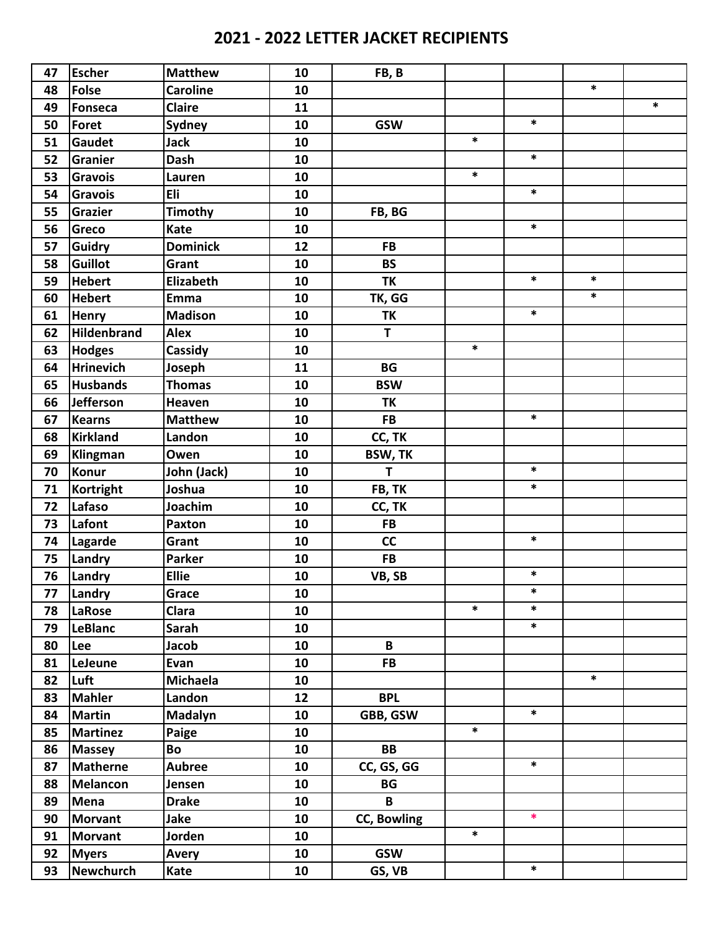| 47 | <b>Escher</b>      | <b>Matthew</b>   | 10 | FB, B              |        |        |        |        |
|----|--------------------|------------------|----|--------------------|--------|--------|--------|--------|
| 48 | <b>Folse</b>       | <b>Caroline</b>  | 10 |                    |        |        | $\ast$ |        |
| 49 | Fonseca            | <b>Claire</b>    | 11 |                    |        |        |        | $\ast$ |
| 50 | Foret              | <b>Sydney</b>    | 10 | <b>GSW</b>         |        | $\ast$ |        |        |
| 51 | <b>Gaudet</b>      | <b>Jack</b>      | 10 |                    | $\ast$ |        |        |        |
| 52 | <b>Granier</b>     | <b>Dash</b>      | 10 |                    |        | $\ast$ |        |        |
| 53 | <b>Gravois</b>     | Lauren           | 10 |                    | $\ast$ |        |        |        |
| 54 | <b>Gravois</b>     | Eli              | 10 |                    |        | $\ast$ |        |        |
| 55 | <b>Grazier</b>     | <b>Timothy</b>   | 10 | FB, BG             |        |        |        |        |
| 56 | <b>Greco</b>       | Kate             | 10 |                    |        | $\ast$ |        |        |
| 57 | <b>Guidry</b>      | <b>Dominick</b>  | 12 | <b>FB</b>          |        |        |        |        |
| 58 | <b>Guillot</b>     | Grant            | 10 | <b>BS</b>          |        |        |        |        |
| 59 | <b>Hebert</b>      | <b>Elizabeth</b> | 10 | <b>TK</b>          |        | $\ast$ | $\ast$ |        |
| 60 | <b>Hebert</b>      | Emma             | 10 | TK, GG             |        |        | $\ast$ |        |
| 61 | <b>Henry</b>       | <b>Madison</b>   | 10 | TK                 |        | $\ast$ |        |        |
| 62 | <b>Hildenbrand</b> | <b>Alex</b>      | 10 | $\mathbf T$        |        |        |        |        |
| 63 | <b>Hodges</b>      | Cassidy          | 10 |                    | $\ast$ |        |        |        |
| 64 | <b>Hrinevich</b>   | Joseph           | 11 | <b>BG</b>          |        |        |        |        |
| 65 | <b>Husbands</b>    | <b>Thomas</b>    | 10 | <b>BSW</b>         |        |        |        |        |
| 66 | Jefferson          | Heaven           | 10 | <b>TK</b>          |        |        |        |        |
| 67 | <b>Kearns</b>      | <b>Matthew</b>   | 10 | <b>FB</b>          |        | $\ast$ |        |        |
| 68 | <b>Kirkland</b>    | Landon           | 10 | CC, TK             |        |        |        |        |
| 69 | Klingman           | Owen             | 10 | <b>BSW, TK</b>     |        |        |        |        |
| 70 | <b>Konur</b>       | John (Jack)      | 10 | $\mathbf T$        |        | $\ast$ |        |        |
| 71 | <b>Kortright</b>   | Joshua           | 10 | FB, TK             |        | $\ast$ |        |        |
| 72 | Lafaso             | Joachim          | 10 | CC, TK             |        |        |        |        |
| 73 | Lafont             | Paxton           | 10 | <b>FB</b>          |        |        |        |        |
| 74 | Lagarde            | Grant            | 10 | cc                 |        | $\ast$ |        |        |
| 75 | Landry             | <b>Parker</b>    | 10 | <b>FB</b>          |        |        |        |        |
| 76 | Landry             | <b>Ellie</b>     | 10 | VB, SB             |        | $\ast$ |        |        |
| 77 | Landry             | Grace            | 10 |                    |        |        |        |        |
| 78 | <b>LaRose</b>      | Clara            | 10 |                    | $\ast$ | $\ast$ |        |        |
| 79 | <b>LeBlanc</b>     | <b>Sarah</b>     | 10 |                    |        | $\ast$ |        |        |
| 80 | Lee                | Jacob            | 10 | $\mathbf{B}$       |        |        |        |        |
| 81 | LeJeune            | Evan             | 10 | <b>FB</b>          |        |        |        |        |
| 82 | Luft               | <b>Michaela</b>  | 10 |                    |        |        | $\ast$ |        |
| 83 | <b>Mahler</b>      | Landon           | 12 | <b>BPL</b>         |        |        |        |        |
| 84 | <b>Martin</b>      | Madalyn          | 10 | GBB, GSW           |        | $\ast$ |        |        |
| 85 | <b>Martinez</b>    | Paige            | 10 |                    | $\ast$ |        |        |        |
| 86 | <b>Massey</b>      | Bo               | 10 | <b>BB</b>          |        |        |        |        |
| 87 | <b>Matherne</b>    | <b>Aubree</b>    | 10 | CC, GS, GG         |        | $\ast$ |        |        |
| 88 | <b>Melancon</b>    | Jensen           | 10 | BG                 |        |        |        |        |
| 89 | Mena               | <b>Drake</b>     | 10 | B                  |        |        |        |        |
| 90 | <b>Morvant</b>     | Jake             | 10 | <b>CC, Bowling</b> |        | $\ast$ |        |        |
| 91 | <b>Morvant</b>     | Jorden           | 10 |                    | $\ast$ |        |        |        |
| 92 | <b>Myers</b>       | Avery            | 10 | <b>GSW</b>         |        |        |        |        |
| 93 | Newchurch          | Kate             | 10 | GS, VB             |        | $\ast$ |        |        |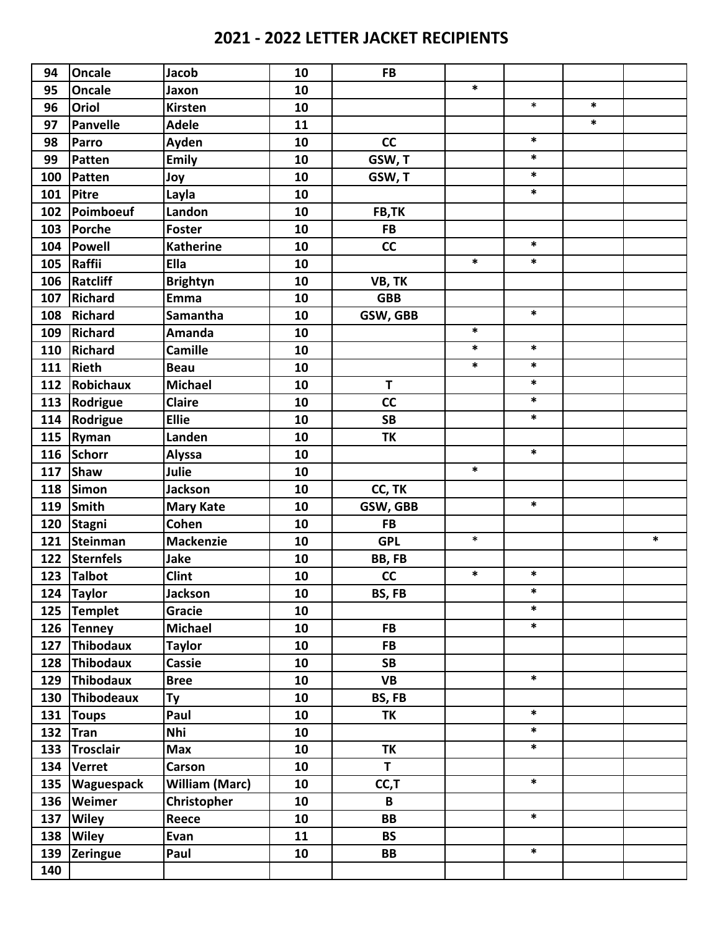| 94  | <b>Oncale</b>     | <b>Jacob</b>          | 10 | <b>FB</b>    |        |        |        |        |
|-----|-------------------|-----------------------|----|--------------|--------|--------|--------|--------|
| 95  | Oncale            | Jaxon                 | 10 |              | $\ast$ |        |        |        |
| 96  | Oriol             | <b>Kirsten</b>        | 10 |              |        | $\ast$ | $\ast$ |        |
| 97  | Panvelle          | <b>Adele</b>          | 11 |              |        |        | $\ast$ |        |
| 98  | Parro             | Ayden                 | 10 | cc           |        | $\ast$ |        |        |
| 99  | Patten            | <b>Emily</b>          | 10 | GSW, T       |        | $\ast$ |        |        |
| 100 | Patten            | Joy                   | 10 | GSW, T       |        | $\ast$ |        |        |
| 101 | Pitre             | Layla                 | 10 |              |        | $\ast$ |        |        |
| 102 | Poimboeuf         | Landon                | 10 | FB,TK        |        |        |        |        |
| 103 | Porche            | <b>Foster</b>         | 10 | <b>FB</b>    |        |        |        |        |
| 104 | Powell            | <b>Katherine</b>      | 10 | cc           |        | $\ast$ |        |        |
| 105 | Raffii            | Ella                  | 10 |              | $\ast$ | $\ast$ |        |        |
| 106 | Ratcliff          | <b>Brightyn</b>       | 10 | VB, TK       |        |        |        |        |
| 107 | <b>Richard</b>    | <b>Emma</b>           | 10 | <b>GBB</b>   |        |        |        |        |
| 108 | <b>Richard</b>    | Samantha              | 10 | GSW, GBB     |        | $\ast$ |        |        |
| 109 | <b>Richard</b>    | Amanda                | 10 |              | $\ast$ |        |        |        |
| 110 | Richard           | <b>Camille</b>        | 10 |              | $\ast$ | $\ast$ |        |        |
| 111 | <b>Rieth</b>      | <b>Beau</b>           | 10 |              | $\ast$ | $\ast$ |        |        |
| 112 | Robichaux         | <b>Michael</b>        | 10 | T            |        | $\ast$ |        |        |
| 113 | Rodrigue          | <b>Claire</b>         | 10 | cc           |        | $\ast$ |        |        |
| 114 | Rodrigue          | <b>Ellie</b>          | 10 | <b>SB</b>    |        | $\ast$ |        |        |
| 115 | Ryman             | Landen                | 10 | <b>TK</b>    |        |        |        |        |
| 116 | <b>Schorr</b>     | <b>Alyssa</b>         | 10 |              |        | $\ast$ |        |        |
| 117 | Shaw              | Julie                 | 10 |              | $\ast$ |        |        |        |
| 118 | <b>Simon</b>      | <b>Jackson</b>        | 10 | CC, TK       |        |        |        |        |
| 119 | Smith             | <b>Mary Kate</b>      | 10 | GSW, GBB     |        | $\ast$ |        |        |
| 120 | <b>Stagni</b>     | Cohen                 | 10 | <b>FB</b>    |        |        |        |        |
| 121 | Steinman          | <b>Mackenzie</b>      | 10 | <b>GPL</b>   | $\ast$ |        |        | $\ast$ |
| 122 | Sternfels         | <b>Jake</b>           | 10 | BB, FB       |        |        |        |        |
| 123 | Talbot            | <b>Clint</b>          | 10 | cc           | $\ast$ | $\ast$ |        |        |
|     | 124 Taylor        | Jackson               | 10 | BS, FB       |        | $\ast$ |        |        |
| 125 | Templet           | Gracie                | 10 |              |        | $\ast$ |        |        |
|     | 126 Tenney        | <b>Michael</b>        | 10 | <b>FB</b>    |        | $\ast$ |        |        |
|     | 127 Thibodaux     | <b>Taylor</b>         | 10 | <b>FB</b>    |        |        |        |        |
|     | 128 Thibodaux     | <b>Cassie</b>         | 10 | <b>SB</b>    |        |        |        |        |
| 129 | Thibodaux         | <b>Bree</b>           | 10 | <b>VB</b>    |        | $\ast$ |        |        |
|     | 130 Thibodeaux    | <b>Ty</b>             | 10 | BS, FB       |        |        |        |        |
| 131 | <b>Toups</b>      | Paul                  | 10 | <b>TK</b>    |        | $\ast$ |        |        |
| 132 | Tran              | Nhi                   | 10 |              |        | $\ast$ |        |        |
| 133 | <b>Trosclair</b>  | Max                   | 10 | TΚ           |        | $\ast$ |        |        |
| 134 | <b>Verret</b>     | Carson                | 10 | $\mathbf{T}$ |        |        |        |        |
| 135 | <b>Waguespack</b> | <b>William (Marc)</b> | 10 | CC, T        |        | $\ast$ |        |        |
|     | 136 Weimer        | Christopher           | 10 | B            |        |        |        |        |
| 137 | <b>Wiley</b>      | Reece                 | 10 | <b>BB</b>    |        | $\ast$ |        |        |
| 138 | <b>Wiley</b>      | Evan                  | 11 | <b>BS</b>    |        |        |        |        |
| 139 | Zeringue          | Paul                  | 10 | BB           |        | $\ast$ |        |        |
| 140 |                   |                       |    |              |        |        |        |        |